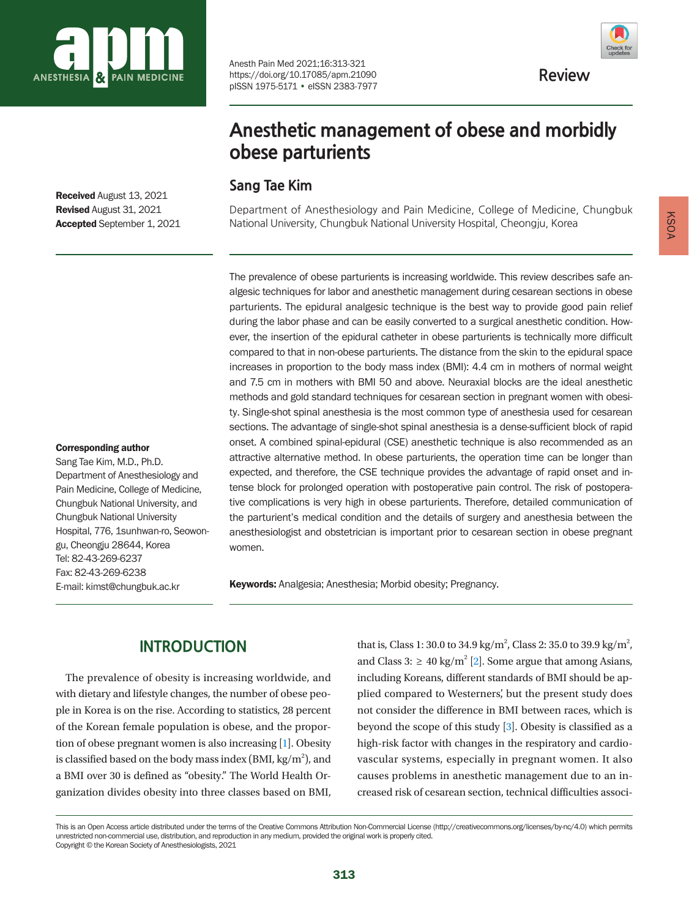

Received August 13, 2021 Revised August 31, 2021 Accepted September 1, 2021

Corresponding author Sang Tae Kim, M.D., Ph.D. Department of Anesthesiology and Pain Medicine, College of Medicine, Chungbuk National University, and Chungbuk National University Hospital, 776, 1sunhwan-ro, Seowon-

gu, Cheongju 28644, Korea Tel: 82-43-269-6237 Fax: 82-43-269-6238 E-mail: kimst@chungbuk.ac.kr

Anesth Pain Med 2021;16:313-321 https://doi.org/10.17085/apm.21090 pISSN 1975-5171 • eISSN 2383-7977



**Review** 

# **Anesthetic management of obese and morbidly obese parturients**

## **Sang Tae Kim**

Department of Anesthesiology and Pain Medicine, College of Medicine, Chungbuk National University, Chungbuk National University Hospital, Cheongju, Korea

The prevalence of obese parturients is increasing worldwide. This review describes safe analgesic techniques for labor and anesthetic management during cesarean sections in obese parturients. The epidural analgesic technique is the best way to provide good pain relief during the labor phase and can be easily converted to a surgical anesthetic condition. However, the insertion of the epidural catheter in obese parturients is technically more difficult compared to that in non-obese parturients. The distance from the skin to the epidural space increases in proportion to the body mass index (BMI): 4.4 cm in mothers of normal weight and 7.5 cm in mothers with BMI 50 and above. Neuraxial blocks are the ideal anesthetic methods and gold standard techniques for cesarean section in pregnant women with obesity. Single-shot spinal anesthesia is the most common type of anesthesia used for cesarean sections. The advantage of single-shot spinal anesthesia is a dense-sufficient block of rapid onset. A combined spinal-epidural (CSE) anesthetic technique is also recommended as an attractive alternative method. In obese parturients, the operation time can be longer than expected, and therefore, the CSE technique provides the advantage of rapid onset and intense block for prolonged operation with postoperative pain control. The risk of postoperative complications is very high in obese parturients. Therefore, detailed communication of the parturient's medical condition and the details of surgery and anesthesia between the anesthesiologist and obstetrician is important prior to cesarean section in obese pregnant women.

Keywords: Analgesia; Anesthesia; Morbid obesity; Pregnancy.

## **INTRODUCTION**

The prevalence of obesity is increasing worldwide, and with dietary and lifestyle changes, the number of obese people in Korea is on the rise. According to statistics, 28 percent of the Korean female population is obese, and the proportion of obese pregnant women is also increasing [\[1\]](#page-7-0). Obesity is classified based on the body mass index (BMI, kg/ $m^2$ ), and a BMI over 30 is defined as "obesity." The World Health Organization divides obesity into three classes based on BMI,

that is, Class 1: 30.0 to 34.9 kg/m<sup>2</sup>, Class 2: 35.0 to 39.9 kg/m<sup>2</sup>, and Class 3:  $\geq 40 \text{ kg/m}^2$  [\[2\]](#page-7-1). Some argue that among Asians, including Koreans, different standards of BMI should be applied compared to Westerners', but the present study does not consider the difference in BMI between races, which is beyond the scope of this study [\[3](#page-7-2)]. Obesity is classified as a high-risk factor with changes in the respiratory and cardiovascular systems, especially in pregnant women. It also causes problems in anesthetic management due to an increased risk of cesarean section, technical difficulties associ-

This is an Open Access article distributed under the terms of the Creative Commons Attribution Non-Commercial License (http://creativecommons.org/licenses/by-nc/4.0) which permits unrestricted non-commercial use, distribution, and reproduction in any medium, provided the original work is properly cited. Copyright © the Korean Society of Anesthesiologists, 2021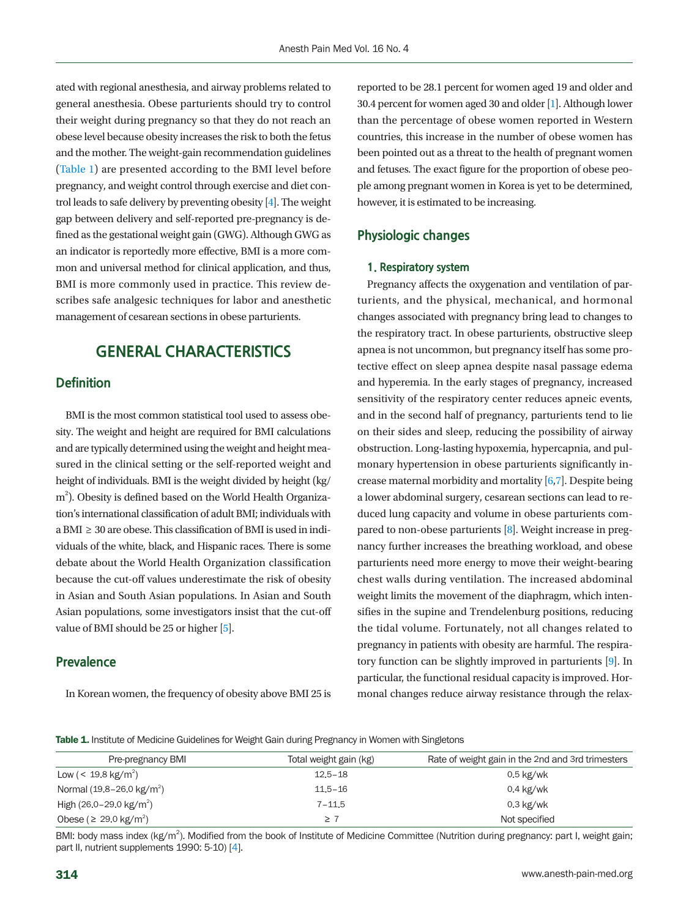ated with regional anesthesia, and airway problems related to general anesthesia. Obese parturients should try to control their weight during pregnancy so that they do not reach an obese level because obesity increases the risk to both the fetus and the mother. The weight-gain recommendation guidelines ([Table 1\)](#page-1-0) are presented according to the BMI level before pregnancy, and weight control through exercise and diet control leads to safe delivery by preventing obesity [\[4](#page-7-3)]. The weight gap between delivery and self-reported pre-pregnancy is defined as the gestational weight gain (GWG). Although GWG as an indicator is reportedly more effective, BMI is a more common and universal method for clinical application, and thus, BMI is more commonly used in practice. This review describes safe analgesic techniques for labor and anesthetic management of cesarean sections in obese parturients.

## **GENERAL CHARACTERISTICS**

## **Definition**

BMI is the most common statistical tool used to assess obesity. The weight and height are required for BMI calculations and are typically determined using the weight and height measured in the clinical setting or the self-reported weight and height of individuals. BMI is the weight divided by height (kg/ m<sup>2</sup>). Obesity is defined based on the World Health Organization's international classification of adult BMI; individuals with a BMI ≥ 30 are obese. This classification of BMI is used in individuals of the white, black, and Hispanic races. There is some debate about the World Health Organization classification because the cut-off values underestimate the risk of obesity in Asian and South Asian populations. In Asian and South Asian populations, some investigators insist that the cut-off value of BMI should be 25 or higher [\[5\]](#page-7-4).

### **Prevalence**

In Korean women, the frequency of obesity above BMI 25 is

reported to be 28.1 percent for women aged 19 and older and 30.4 percent for women aged 30 and older [1]. Although lower than the percentage of obese women reported in Western countries, this increase in the number of obese women has been pointed out as a threat to the health of pregnant women and fetuses. The exact figure for the proportion of obese people among pregnant women in Korea is yet to be determined, however, it is estimated to be increasing.

### **Physiologic changes**

#### **1. Respiratory system**

Pregnancy affects the oxygenation and ventilation of parturients, and the physical, mechanical, and hormonal changes associated with pregnancy bring lead to changes to the respiratory tract. In obese parturients, obstructive sleep apnea is not uncommon, but pregnancy itself has some protective effect on sleep apnea despite nasal passage edema and hyperemia. In the early stages of pregnancy, increased sensitivity of the respiratory center reduces apneic events, and in the second half of pregnancy, parturients tend to lie on their sides and sleep, reducing the possibility of airway obstruction. Long-lasting hypoxemia, hypercapnia, and pulmonary hypertension in obese parturients significantly increase maternal morbidity and mortality [\[6](#page-7-5),[7](#page-7-6)]. Despite being a lower abdominal surgery, cesarean sections can lead to reduced lung capacity and volume in obese parturients compared to non-obese parturients [\[8](#page-7-7)]. Weight increase in pregnancy further increases the breathing workload, and obese parturients need more energy to move their weight-bearing chest walls during ventilation. The increased abdominal weight limits the movement of the diaphragm, which intensifies in the supine and Trendelenburg positions, reducing the tidal volume. Fortunately, not all changes related to pregnancy in patients with obesity are harmful. The respiratory function can be slightly improved in parturients [\[9\]](#page-7-8). In particular, the functional residual capacity is improved. Hormonal changes reduce airway resistance through the relax-

<span id="page-1-0"></span>Table 1. Institute of Medicine Guidelines for Weight Gain during Pregnancy in Women with Singletons

| Pre-pregnancy BMI                     | Total weight gain (kg) | Rate of weight gain in the 2nd and 3rd trimesters |
|---------------------------------------|------------------------|---------------------------------------------------|
| Low (< 19.8 kg/m <sup>2</sup> )       | $12.5 - 18$            | $0.5$ kg/wk                                       |
| Normal $(19.8 - 26.0 \text{ kg/m}^2)$ | $11.5 - 16$            | $0.4$ kg/wk                                       |
| High (26.0–29.0 kg/m <sup>2</sup> )   | $7 - 11.5$             | $0.3$ kg/wk                                       |
| Obese ( $≥$ 29.0 kg/m <sup>2</sup> )  | >7                     | Not specified                                     |

BMI: body mass index (kg/m<sup>2</sup>). Modified from the book of Institute of Medicine Committee (Nutrition during pregnancy: part I, weight gain; part II, nutrient supplements 1990: 5-10) [\[4\]](#page-7-3).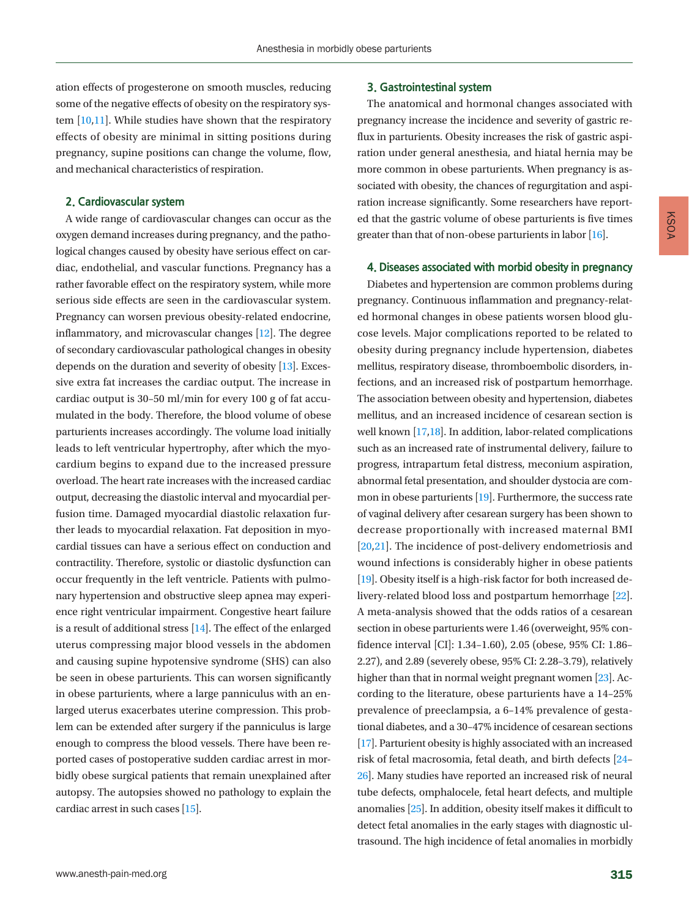ation effects of progesterone on smooth muscles, reducing some of the negative effects of obesity on the respiratory system  $[10,11]$  $[10,11]$ . While studies have shown that the respiratory effects of obesity are minimal in sitting positions during pregnancy, supine positions can change the volume, flow, and mechanical characteristics of respiration.

#### **2. Cardiovascular system**

A wide range of cardiovascular changes can occur as the oxygen demand increases during pregnancy, and the pathological changes caused by obesity have serious effect on cardiac, endothelial, and vascular functions. Pregnancy has a rather favorable effect on the respiratory system, while more serious side effects are seen in the cardiovascular system. Pregnancy can worsen previous obesity-related endocrine, inflammatory, and microvascular changes [\[12](#page-7-22)]. The degree of secondary cardiovascular pathological changes in obesity depends on the duration and severity of obesity [\[13\]](#page-7-10). Excessive extra fat increases the cardiac output. The increase in cardiac output is 30–50 ml/min for every 100 g of fat accumulated in the body. Therefore, the blood volume of obese parturients increases accordingly. The volume load initially leads to left ventricular hypertrophy, after which the myocardium begins to expand due to the increased pressure overload. The heart rate increases with the increased cardiac output, decreasing the diastolic interval and myocardial perfusion time. Damaged myocardial diastolic relaxation further leads to myocardial relaxation. Fat deposition in myocardial tissues can have a serious effect on conduction and contractility. Therefore, systolic or diastolic dysfunction can occur frequently in the left ventricle. Patients with pulmonary hypertension and obstructive sleep apnea may experience right ventricular impairment. Congestive heart failure is a result of additional stress [\[14](#page-7-23)]. The effect of the enlarged uterus compressing major blood vessels in the abdomen and causing supine hypotensive syndrome (SHS) can also be seen in obese parturients. This can worsen significantly in obese parturients, where a large panniculus with an enlarged uterus exacerbates uterine compression. This problem can be extended after surgery if the panniculus is large enough to compress the blood vessels. There have been reported cases of postoperative sudden cardiac arrest in morbidly obese surgical patients that remain unexplained after autopsy. The autopsies showed no pathology to explain the cardiac arrest in such cases [\[15](#page-7-12)].

## www.anesth-pain-med.org 315

#### **3. Gastrointestinal system**

The anatomical and hormonal changes associated with pregnancy increase the incidence and severity of gastric reflux in parturients. Obesity increases the risk of gastric aspiration under general anesthesia, and hiatal hernia may be more common in obese parturients. When pregnancy is associated with obesity, the chances of regurgitation and aspiration increase significantly. Some researchers have reported that the gastric volume of obese parturients is five times greater than that of non-obese parturients in labor [\[16\]](#page-7-9).

#### **4. Diseases associated with morbid obesity in pregnancy**

Diabetes and hypertension are common problems during pregnancy. Continuous inflammation and pregnancy-related hormonal changes in obese patients worsen blood glucose levels. Major complications reported to be related to obesity during pregnancy include hypertension, diabetes mellitus, respiratory disease, thromboembolic disorders, infections, and an increased risk of postpartum hemorrhage. The association between obesity and hypertension, diabetes mellitus, and an increased incidence of cesarean section is well known [\[17](#page-7-10),[18\]](#page-7-11). In addition, labor-related complications such as an increased rate of instrumental delivery, failure to progress, intrapartum fetal distress, meconium aspiration, abnormal fetal presentation, and shoulder dystocia are common in obese parturients [\[19\]](#page-7-12). Furthermore, the success rate of vaginal delivery after cesarean surgery has been shown to decrease proportionally with increased maternal BMI [\[20](#page-7-13)[,21\]](#page-7-14). The incidence of post-delivery endometriosis and wound infections is considerably higher in obese patients [\[19](#page-7-12)]. Obesity itself is a high-risk factor for both increased delivery-related blood loss and postpartum hemorrhage [\[22\]](#page-7-15). A meta-analysis showed that the odds ratios of a cesarean section in obese parturients were 1.46 (overweight, 95% confidence interval [CI]: 1.34–1.60), 2.05 (obese, 95% CI: 1.86– 2.27), and 2.89 (severely obese, 95% CI: 2.28–3.79), relatively higher than that in normal weight pregnant women [\[23](#page-7-16)]. According to the literature, obese parturients have a 14–25% prevalence of preeclampsia, a 6–14% prevalence of gestational diabetes, and a 30–47% incidence of cesarean sections [17]. Parturient obesity is highly associated with an increased risk of fetal macrosomia, fetal death, and birth defects [\[24–](#page-7-17) [26\]](#page-7-18). Many studies have reported an increased risk of neural tube defects, omphalocele, fetal heart defects, and multiple anomalies [\[25](#page-7-19)]. In addition, obesity itself makes it difficult to detect fetal anomalies in the early stages with diagnostic ultrasound. The high incidence of fetal anomalies in morbidly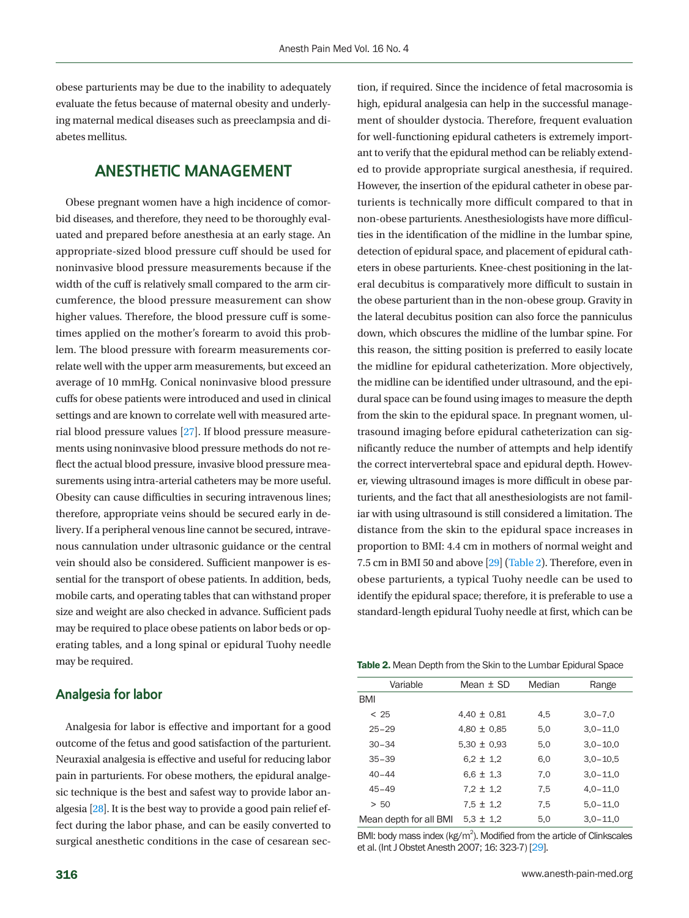obese parturients may be due to the inability to adequately evaluate the fetus because of maternal obesity and underlying maternal medical diseases such as preeclampsia and diabetes mellitus.

## **ANESTHETIC MANAGEMENT**

Obese pregnant women have a high incidence of comorbid diseases, and therefore, they need to be thoroughly evaluated and prepared before anesthesia at an early stage. An appropriate-sized blood pressure cuff should be used for noninvasive blood pressure measurements because if the width of the cuff is relatively small compared to the arm circumference, the blood pressure measurement can show higher values. Therefore, the blood pressure cuff is sometimes applied on the mother's forearm to avoid this problem. The blood pressure with forearm measurements correlate well with the upper arm measurements, but exceed an average of 10 mmHg. Conical noninvasive blood pressure cuffs for obese patients were introduced and used in clinical settings and are known to correlate well with measured arterial blood pressure values [\[27](#page-7-24)]. If blood pressure measurements using noninvasive blood pressure methods do not reflect the actual blood pressure, invasive blood pressure measurements using intra-arterial catheters may be more useful. Obesity can cause difficulties in securing intravenous lines; therefore, appropriate veins should be secured early in delivery. If a peripheral venous line cannot be secured, intravenous cannulation under ultrasonic guidance or the central vein should also be considered. Sufficient manpower is essential for the transport of obese patients. In addition, beds, mobile carts, and operating tables that can withstand proper size and weight are also checked in advance. Sufficient pads may be required to place obese patients on labor beds or operating tables, and a long spinal or epidural Tuohy needle may be required.

### **Analgesia for labor**

Analgesia for labor is effective and important for a good outcome of the fetus and good satisfaction of the parturient. Neuraxial analgesia is effective and useful for reducing labor pain in parturients. For obese mothers, the epidural analgesic technique is the best and safest way to provide labor analgesia [\[28](#page-7-25)]. It is the best way to provide a good pain relief effect during the labor phase, and can be easily converted to surgical anesthetic conditions in the case of cesarean sec-

tion, if required. Since the incidence of fetal macrosomia is high, epidural analgesia can help in the successful management of shoulder dystocia. Therefore, frequent evaluation for well-functioning epidural catheters is extremely important to verify that the epidural method can be reliably extended to provide appropriate surgical anesthesia, if required. However, the insertion of the epidural catheter in obese parturients is technically more difficult compared to that in non-obese parturients. Anesthesiologists have more difficulties in the identification of the midline in the lumbar spine, detection of epidural space, and placement of epidural catheters in obese parturients. Knee-chest positioning in the lateral decubitus is comparatively more difficult to sustain in the obese parturient than in the non-obese group. Gravity in the lateral decubitus position can also force the panniculus down, which obscures the midline of the lumbar spine. For this reason, the sitting position is preferred to easily locate the midline for epidural catheterization. More objectively, the midline can be identified under ultrasound, and the epidural space can be found using images to measure the depth from the skin to the epidural space. In pregnant women, ultrasound imaging before epidural catheterization can significantly reduce the number of attempts and help identify the correct intervertebral space and epidural depth. However, viewing ultrasound images is more difficult in obese parturients, and the fact that all anesthesiologists are not familiar with using ultrasound is still considered a limitation. The distance from the skin to the epidural space increases in proportion to BMI: 4.4 cm in mothers of normal weight and 7.5 cm in BMI 50 and above [\[29\]](#page-7-26) [\(Table 2\)](#page-3-0). Therefore, even in obese parturients, a typical Tuohy needle can be used to identify the epidural space; therefore, it is preferable to use a standard-length epidural Tuohy needle at first, which can be

<span id="page-3-0"></span>

|  |  | <b>Table 2.</b> Mean Depth from the Skin to the Lumbar Epidural Space |
|--|--|-----------------------------------------------------------------------|
|--|--|-----------------------------------------------------------------------|

| Variable               | Mean $\pm$ SD   | Median | Range        |
|------------------------|-----------------|--------|--------------|
| BMI                    |                 |        |              |
| < 25                   | $4.40 \pm 0.81$ | 4.5    | $3.0 - 7.0$  |
| $25 - 29$              | $4.80 \pm 0.85$ | 5.0    | $3.0 - 11.0$ |
| $30 - 34$              | $5.30 \pm 0.93$ | 5.0    | $3.0 - 10.0$ |
| $35 - 39$              | $6.2 \pm 1.2$   | 6.0    | $3.0 - 10.5$ |
| $40 - 44$              | $6.6 \pm 1.3$   | 7.0    | $3.0 - 11.0$ |
| $45 - 49$              | $7.2 \pm 1.2$   | 7.5    | $4.0 - 11.0$ |
| > 50                   | $7.5 \pm 1.2$   | 7.5    | $5.0 - 11.0$ |
| Mean depth for all BMI | $5.3 \pm 1.2$   | 5.0    | $3.0 - 11.0$ |

BMI: body mass index ( $kg/m^2$ ). Modified from the article of Clinkscales et al. (Int J Obstet Anesth 2007; 16: 323-7) [\[29\]](#page-7-26).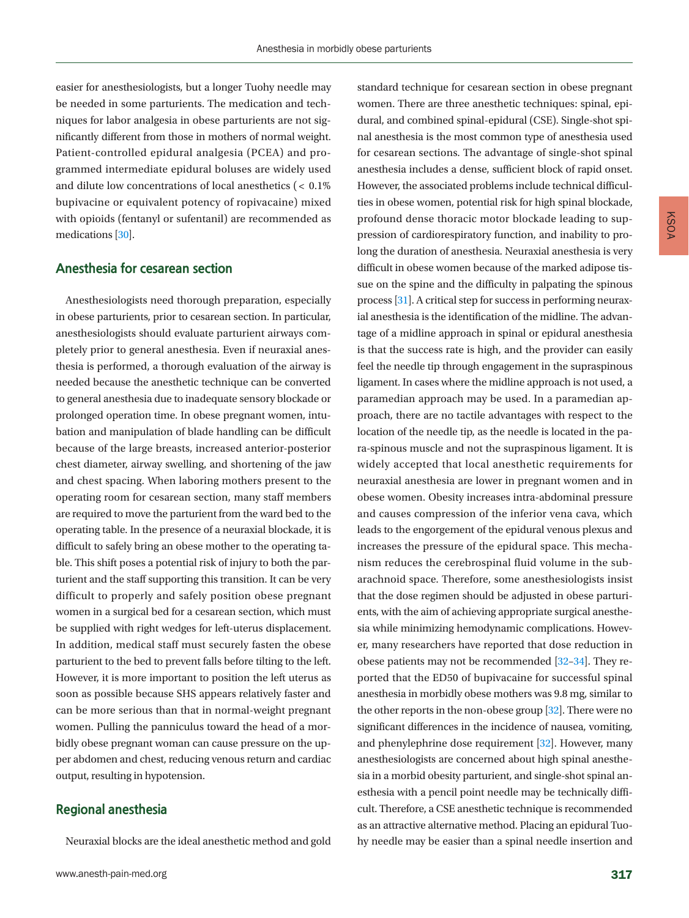easier for anesthesiologists, but a longer Tuohy needle may be needed in some parturients. The medication and techniques for labor analgesia in obese parturients are not significantly different from those in mothers of normal weight. Patient-controlled epidural analgesia (PCEA) and programmed intermediate epidural boluses are widely used and dilute low concentrations of local anesthetics  $( < 0.1\% )$ bupivacine or equivalent potency of ropivacaine) mixed with opioids (fentanyl or sufentanil) are recommended as medications [\[30](#page-7-27)].

## **Anesthesia for cesarean section**

Anesthesiologists need thorough preparation, especially in obese parturients, prior to cesarean section. In particular, anesthesiologists should evaluate parturient airways completely prior to general anesthesia. Even if neuraxial anesthesia is performed, a thorough evaluation of the airway is needed because the anesthetic technique can be converted to general anesthesia due to inadequate sensory blockade or prolonged operation time. In obese pregnant women, intubation and manipulation of blade handling can be difficult because of the large breasts, increased anterior-posterior chest diameter, airway swelling, and shortening of the jaw and chest spacing. When laboring mothers present to the operating room for cesarean section, many staff members are required to move the parturient from the ward bed to the operating table. In the presence of a neuraxial blockade, it is difficult to safely bring an obese mother to the operating table. This shift poses a potential risk of injury to both the parturient and the staff supporting this transition. It can be very difficult to properly and safely position obese pregnant women in a surgical bed for a cesarean section, which must be supplied with right wedges for left-uterus displacement. In addition, medical staff must securely fasten the obese parturient to the bed to prevent falls before tilting to the left. However, it is more important to position the left uterus as soon as possible because SHS appears relatively faster and can be more serious than that in normal-weight pregnant women. Pulling the panniculus toward the head of a morbidly obese pregnant woman can cause pressure on the upper abdomen and chest, reducing venous return and cardiac output, resulting in hypotension.

## **Regional anesthesia**

Neuraxial blocks are the ideal anesthetic method and gold

standard technique for cesarean section in obese pregnant women. There are three anesthetic techniques: spinal, epidural, and combined spinal-epidural (CSE). Single-shot spinal anesthesia is the most common type of anesthesia used for cesarean sections. The advantage of single-shot spinal anesthesia includes a dense, sufficient block of rapid onset. However, the associated problems include technical difficulties in obese women, potential risk for high spinal blockade, profound dense thoracic motor blockade leading to suppression of cardiorespiratory function, and inability to prolong the duration of anesthesia. Neuraxial anesthesia is very difficult in obese women because of the marked adipose tissue on the spine and the difficulty in palpating the spinous process [\[31](#page-8-0)]. A critical step for success in performing neuraxial anesthesia is the identification of the midline. The advantage of a midline approach in spinal or epidural anesthesia is that the success rate is high, and the provider can easily feel the needle tip through engagement in the supraspinous ligament. In cases where the midline approach is not used, a paramedian approach may be used. In a paramedian approach, there are no tactile advantages with respect to the location of the needle tip, as the needle is located in the para-spinous muscle and not the supraspinous ligament. It is widely accepted that local anesthetic requirements for neuraxial anesthesia are lower in pregnant women and in obese women. Obesity increases intra-abdominal pressure and causes compression of the inferior vena cava, which leads to the engorgement of the epidural venous plexus and increases the pressure of the epidural space. This mechanism reduces the cerebrospinal fluid volume in the subarachnoid space. Therefore, some anesthesiologists insist that the dose regimen should be adjusted in obese parturients, with the aim of achieving appropriate surgical anesthesia while minimizing hemodynamic complications. However, many researchers have reported that dose reduction in obese patients may not be recommended [\[32–](#page-7-26)[34\]](#page-8-1). They reported that the ED50 of bupivacaine for successful spinal anesthesia in morbidly obese mothers was 9.8 mg, similar to the other reports in the non-obese group [\[32](#page-7-26)]. There were no significant differences in the incidence of nausea, vomiting, and phenylephrine dose requirement [[32](#page-7-26)]. However, many anesthesiologists are concerned about high spinal anesthesia in a morbid obesity parturient, and single-shot spinal anesthesia with a pencil point needle may be technically difficult. Therefore, a CSE anesthetic technique is recommended as an attractive alternative method. Placing an epidural Tuohy needle may be easier than a spinal needle insertion and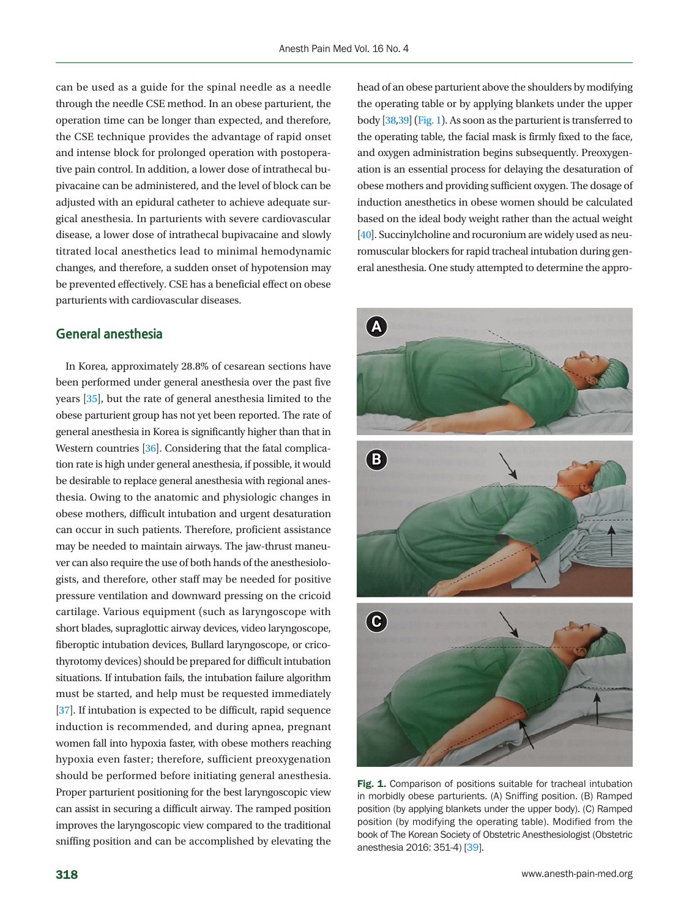can be used as a guide for the spinal needle as a needle through the needle CSE method. In an obese parturient, the operation time can be longer than expected, and therefore, the CSE technique provides the advantage of rapid onset and intense block for prolonged operation with postoperative pain control. In addition, a lower dose of intrathecal bupivacaine can be administered, and the level of block can be adjusted with an epidural catheter to achieve adequate surgical anesthesia. In parturients with severe cardiovascular disease, a lower dose of intrathecal bupivacaine and slowly titrated local anesthetics lead to minimal hemodynamic changes, and therefore, a sudden onset of hypotension may be prevented effectively. CSE has a beneficial effect on obese parturients with cardiovascular diseases.

## **General anesthesia**

In Korea, approximately 28.8% of cesarean sections have been performed under general anesthesia over the past five years [[35](#page-8-2)], but the rate of general anesthesia limited to the obese parturient group has not yet been reported. The rate of general anesthesia in Korea is significantly higher than that in Western countries [\[36\]](#page-8-3). Considering that the fatal complication rate is high under general anesthesia, if possible, it would be desirable to replace general anesthesia with regional anesthesia. Owing to the anatomic and physiologic changes in obese mothers, difficult intubation and urgent desaturation can occur in such patients. Therefore, proficient assistance may be needed to maintain airways. The jaw-thrust maneuver can also require the use of both hands of the anesthesiologists, and therefore, other staff may be needed for positive pressure ventilation and downward pressing on the cricoid cartilage. Various equipment (such as laryngoscope with short blades, supraglottic airway devices, video laryngoscope, fiberoptic intubation devices, Bullard laryngoscope, or cricothyrotomy devices) should be prepared for difficult intubation situations. If intubation fails, the intubation failure algorithm must be started, and help must be requested immediately [\[37](#page-8-4)]. If intubation is expected to be difficult, rapid sequence induction is recommended, and during apnea, pregnant women fall into hypoxia faster, with obese mothers reaching hypoxia even faster; therefore, sufficient preoxygenation should be performed before initiating general anesthesia. Proper parturient positioning for the best laryngoscopic view can assist in securing a difficult airway. The ramped position improves the laryngoscopic view compared to the traditional sniffing position and can be accomplished by elevating the

head of an obese parturient above the shoulders by modifying the operating table or by applying blankets under the upper body [\[38](#page-8-5)[,39\]](#page-8-6) [\(Fig.](#page-5-0) 1). As soon as the parturient is transferred to the operating table, the facial mask is firmly fixed to the face, and oxygen administration begins subsequently. Preoxygenation is an essential process for delaying the desaturation of obese mothers and providing sufficient oxygen. The dosage of induction anesthetics in obese women should be calculated based on the ideal body weight rather than the actual weight [\[40\]](#page-8-7). Succinylcholine and rocuronium are widely used as neuromuscular blockers for rapid tracheal intubation during general anesthesia. One study attempted to determine the appro-

<span id="page-5-0"></span>

Fig. 1. Comparison of positions suitable for tracheal intubation in morbidly obese parturients. (A) Sniffing position. (B) Ramped position (by applying blankets under the upper body). (C) Ramped position (by modifying the operating table). Modified from the book of The Korean Society of Obstetric Anesthesiologist (Obstetric anesthesia 2016: 351-4) [[39\]](#page-8-6).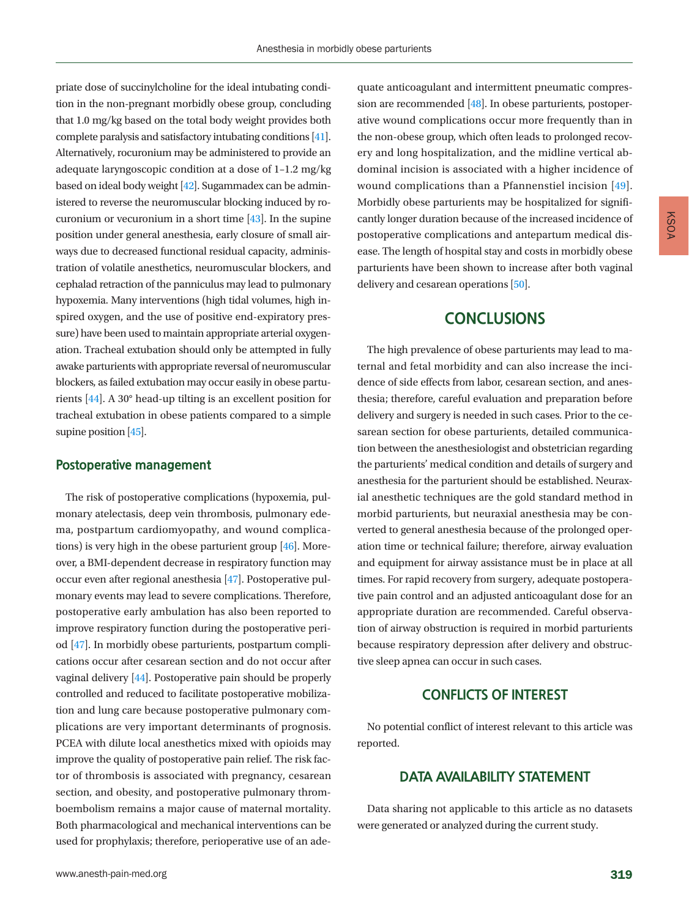priate dose of succinylcholine for the ideal intubating condition in the non-pregnant morbidly obese group, concluding that 1.0 mg/kg based on the total body weight provides both complete paralysis and satisfactory intubating conditions [\[41](#page-8-8)]. Alternatively, rocuronium may be administered to provide an adequate laryngoscopic condition at a dose of 1–1.2 mg/kg based on ideal body weight [\[42\]](#page-8-9). Sugammadex can be administered to reverse the neuromuscular blocking induced by rocuronium or vecuronium in a short time [\[43](#page-8-10)]. In the supine position under general anesthesia, early closure of small airways due to decreased functional residual capacity, administration of volatile anesthetics, neuromuscular blockers, and cephalad retraction of the panniculus may lead to pulmonary hypoxemia. Many interventions (high tidal volumes, high inspired oxygen, and the use of positive end-expiratory pressure) have been used to maintain appropriate arterial oxygenation. Tracheal extubation should only be attempted in fully awake parturients with appropriate reversal of neuromuscular blockers, as failed extubation may occur easily in obese parturients [\[44\]](#page-8-8). A 30° head-up tilting is an excellent position for tracheal extubation in obese patients compared to a simple supine position [\[45\]](#page-8-11).

#### **Postoperative management**

The risk of postoperative complications (hypoxemia, pulmonary atelectasis, deep vein thrombosis, pulmonary edema, postpartum cardiomyopathy, and wound complications) is very high in the obese parturient group [\[46](#page-8-12)]. Moreover, a BMI-dependent decrease in respiratory function may occur even after regional anesthesia [\[47\]](#page-8-13). Postoperative pulmonary events may lead to severe complications. Therefore, postoperative early ambulation has also been reported to improve respiratory function during the postoperative period [\[47](#page-8-13)]. In morbidly obese parturients, postpartum complications occur after cesarean section and do not occur after vaginal delivery [\[44\]](#page-8-8). Postoperative pain should be properly controlled and reduced to facilitate postoperative mobilization and lung care because postoperative pulmonary complications are very important determinants of prognosis. PCEA with dilute local anesthetics mixed with opioids may improve the quality of postoperative pain relief. The risk factor of thrombosis is associated with pregnancy, cesarean section, and obesity, and postoperative pulmonary thromboembolism remains a major cause of maternal mortality. Both pharmacological and mechanical interventions can be used for prophylaxis; therefore, perioperative use of an adequate anticoagulant and intermittent pneumatic compression are recommended [[48](#page-8-14)]. In obese parturients, postoperative wound complications occur more frequently than in the non-obese group, which often leads to prolonged recovery and long hospitalization, and the midline vertical abdominal incision is associated with a higher incidence of wound complications than a Pfannenstiel incision [\[49\]](#page-8-15). Morbidly obese parturients may be hospitalized for significantly longer duration because of the increased incidence of postoperative complications and antepartum medical disease. The length of hospital stay and costs in morbidly obese parturients have been shown to increase after both vaginal delivery and cesarean operations [\[50](#page-8-16)].

## **CONCLUSIONS**

The high prevalence of obese parturients may lead to maternal and fetal morbidity and can also increase the incidence of side effects from labor, cesarean section, and anesthesia; therefore, careful evaluation and preparation before delivery and surgery is needed in such cases. Prior to the cesarean section for obese parturients, detailed communication between the anesthesiologist and obstetrician regarding the parturients' medical condition and details of surgery and anesthesia for the parturient should be established. Neuraxial anesthetic techniques are the gold standard method in morbid parturients, but neuraxial anesthesia may be converted to general anesthesia because of the prolonged operation time or technical failure; therefore, airway evaluation and equipment for airway assistance must be in place at all times. For rapid recovery from surgery, adequate postoperative pain control and an adjusted anticoagulant dose for an appropriate duration are recommended. Careful observation of airway obstruction is required in morbid parturients because respiratory depression after delivery and obstructive sleep apnea can occur in such cases.

### **CONFLICTS OF INTEREST**

No potential conflict of interest relevant to this article was reported.

## **DATA AVAILABILITY STATEMENT**

Data sharing not applicable to this article as no datasets were generated or analyzed during the current study.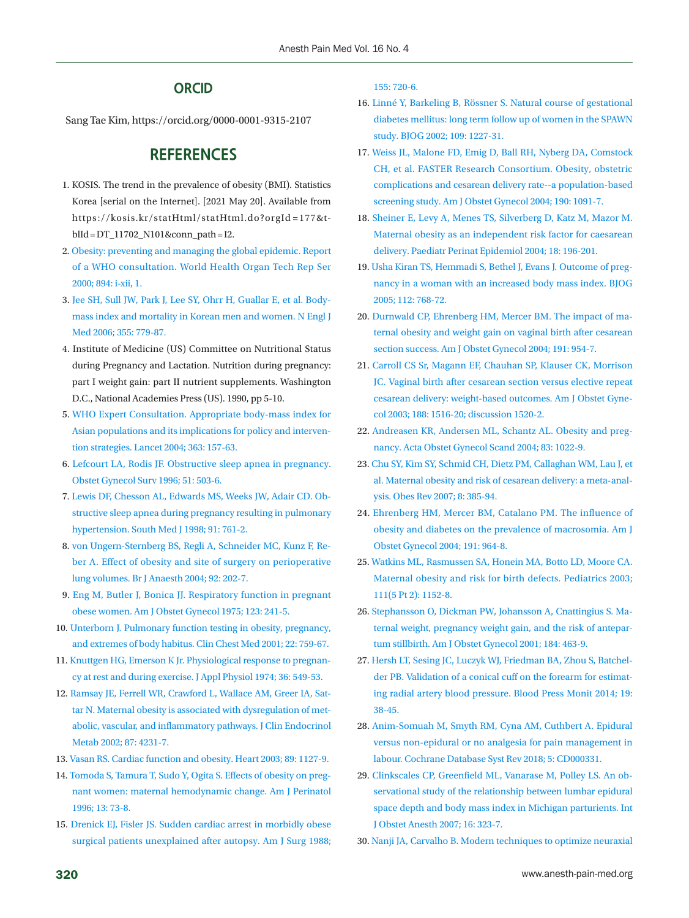### **ORCID**

Sang Tae Kim, [https://orcid.org/0000-0001-9315-210](http://orcid.org/0000-0001-9315-2107)7

## **REFERENCES**

- <span id="page-7-0"></span>1. KOSIS. The trend in the prevalence of obesity (BMI). Statistics Korea [serial on the Internet]. [2021 May 20]. Available from https://kosis.kr/statHtml/statHtml.do?orgId =177&tblId = DT\_11702\_N101&conn\_path = I2.
- <span id="page-7-1"></span>2. [Obesity: preventing and managing the global epidemic. Report](https://www.ncbi.nlm.nih.gov/pubmed/11234459) [of a WHO consultation. World Health Organ Tech Rep Ser](https://www.ncbi.nlm.nih.gov/pubmed/11234459) [2000; 894: i-xii, 1.](https://www.ncbi.nlm.nih.gov/pubmed/11234459)
- <span id="page-7-2"></span>[3. Jee SH, Sull JW, Park J, Lee SY, Ohrr H, Guallar E, et al. Body](https://doi.org/10.1056/nejmoa054017)[mass index and mortality in Korean men and women. N Engl J](https://doi.org/10.1056/nejmoa054017) [Med 2006; 355: 779-87.](https://doi.org/10.1056/nejmoa054017)
- <span id="page-7-3"></span>4. Institute of Medicine (US) Committee on Nutritional Status during Pregnancy and Lactation. Nutrition during pregnancy: part I weight gain: part II nutrient supplements. Washington D.C., National Academies Press (US). 1990, pp 5-10.
- <span id="page-7-4"></span>[5. WHO Expert Consultation. Appropriate body-mass index for](https://doi.org/10.1016/s0140-6736(03)15268-3) [Asian populations and its implications for policy and interven](https://doi.org/10.1016/s0140-6736(03)15268-3)[tion strategies. Lancet 2004; 363: 157-63](https://doi.org/10.1016/s0140-6736(03)15268-3).
- <span id="page-7-5"></span>[6. Lefcourt LA, Rodis JF. Obstructive sleep apnea in pregnancy.](https://doi.org/10.1097/00006254-199608000-00024) [Obstet Gynecol Surv 1996; 51: 503-6.](https://doi.org/10.1097/00006254-199608000-00024)
- <span id="page-7-6"></span>[7. Lewis DF, Chesson AL, Edwards MS, Weeks JW, Adair CD. Ob](https://doi.org/10.1097/00007611-199808000-00013)[structive sleep apnea during pregnancy resulting in pulmonary](https://doi.org/10.1097/00007611-199808000-00013) [hypertension. South Med J 1998; 91: 761-2](https://doi.org/10.1097/00007611-199808000-00013).
- <span id="page-7-7"></span>[8. von Ungern-Sternberg BS, Regli A, Schneider MC, Kunz F, Re](https://doi.org/10.1093/bja/aeh046)[ber A. Effect of obesity and site of surgery on perioperative](https://doi.org/10.1093/bja/aeh046) [lung volumes. Br J Anaesth 2004; 92: 202-7.](https://doi.org/10.1093/bja/aeh046)
- <span id="page-7-8"></span>[9. Eng M, Butler J, Bonica JJ. Respiratory function in pregnant](https://doi.org/10.1016/0002-9378(75)90192-1) [obese women. Am J Obstet Gynecol 1975; 123: 241-5](https://doi.org/10.1016/0002-9378(75)90192-1).
- <span id="page-7-20"></span>10[. Unterborn J. Pulmonary function testing in obesity, pregnancy,](https://doi.org/10.1016/s0272-5231(05)70064-2) [and extremes of body habitus. Clin Chest Med 2001; 22: 759-67.](https://doi.org/10.1016/s0272-5231(05)70064-2)
- <span id="page-7-21"></span>11[. Knuttgen HG, Emerson K Jr. Physiological response to pregnan](https://doi.org/10.1152/jappl.1974.36.5.549)[cy at rest and during exercise. J Appl Physiol 1974; 36: 549-53](https://doi.org/10.1152/jappl.1974.36.5.549).
- <span id="page-7-22"></span>12[. Ramsay JE, Ferrell WR, Crawford L, Wallace AM, Greer IA, Sat](https://doi.org/10.1210/jc.2002-020311)[tar N. Maternal obesity is associated with dysregulation of met](https://doi.org/10.1210/jc.2002-020311)[abolic, vascular, and inflammatory pathways. J Clin Endocrinol](https://doi.org/10.1210/jc.2002-020311) [Metab 2002; 87: 4231-7](https://doi.org/10.1210/jc.2002-020311).
- <span id="page-7-10"></span>13. [Vasan RS. Cardiac function and obesity. Heart 2003; 89: 1127-](https://doi.org/10.1136/heart.89.10.1127)9.
- <span id="page-7-23"></span>14[. Tomoda S, Tamura T, Sudo Y, Ogita S. Effects of obesity on preg](https://doi.org/10.1055/s-2007-994295)[nant women: maternal hemodynamic change. Am J Perinatol](https://doi.org/10.1055/s-2007-994295) [1996; 13: 73-8.](https://doi.org/10.1055/s-2007-994295)
- <span id="page-7-12"></span>15. [Drenick EJ, Fisler JS. Sudden cardiac arrest in morbidly obese](https://doi.org/10.1016/s0002-9610(88)80029-1) [surgical patients unexplained after autopsy. Am J Surg 1988;](https://doi.org/10.1016/s0002-9610(88)80029-1)

[155: 720-](https://doi.org/10.1016/s0002-9610(88)80029-1)6.

- <span id="page-7-9"></span>16[. Linné Y, Barkeling B, Rössner S. Natu](https://doi.org/10.1016/s1470-0328(02)01973-0)ral course of gestational diabetes mellitus: long term follow up of women in the SPAWN study. BJOG 2002; 109: 1227-31.
- 17. [Weiss JL, Malone FD, Emig D, Ball RH, Nyberg DA, Comstock](https://www.ncbi.nlm.nih.gov/pubmed/15118648) [CH, et al. FASTER Research Consortium. Obesity, obstetric](https://www.ncbi.nlm.nih.gov/pubmed/15118648)  [complications and cesarean delivery rate--a population-based](https://www.ncbi.nlm.nih.gov/pubmed/15118648) [screening study. Am J Obstet Gynecol 2004; 190: 1091-7.](https://www.ncbi.nlm.nih.gov/pubmed/15118648)
- <span id="page-7-11"></span>18[. Sheiner E, Levy A, Menes TS, Silverberg D, Katz M, Mazor M.](https://doi.org/10.1111/j.1365-3016.2004.00557.x) [Maternal obesity as an independent risk factor for caesarean](https://doi.org/10.1111/j.1365-3016.2004.00557.x) [delivery. Paediatr Perinat Epidemiol 2004; 18: 196-201.](https://doi.org/10.1111/j.1365-3016.2004.00557.x)
- 19. [Usha Kiran TS, Hemmadi S, Bethel J, Evans J. Outcome of preg](https://doi.org/10.1111/j.1471-0528.2004.00546.x)[nancy in a woman with an increased body mass index. BJOG](https://doi.org/10.1111/j.1471-0528.2004.00546.x)  [2005; 112: 768-72.](https://doi.org/10.1111/j.1471-0528.2004.00546.x)
- <span id="page-7-13"></span>2[0. Durnwald CP, Ehrenberg HM, Mercer BM. The impact of ma](https://doi.org/10.1016/j.ajog.2004.05.051)[ternal obesity and weight gain on vaginal birth after cesarean](https://doi.org/10.1016/j.ajog.2004.05.051) [section success. Am J Obstet Gynecol 2004; 191: 954-7](https://doi.org/10.1016/j.ajog.2004.05.051).
- <span id="page-7-14"></span>21[. Carroll CS Sr, Magann EF, Chauhan SP, Klauser CK, Morrison](https://doi.org/10.1067/mob.2003.472) [JC. Vaginal birth after cesarean section versus elective repeat](https://doi.org/10.1067/mob.2003.472) [cesarean delivery: weight-based outcomes. Am J Obstet Gyne](https://doi.org/10.1067/mob.2003.472)[col 2003; 188: 1516-20; discussion 1520-2.](https://doi.org/10.1067/mob.2003.472)
- <span id="page-7-15"></span>22[. Andreasen KR, Andersen ML, Schantz AL. Obesity and preg](https://doi.org/10.1111/j.0001-6349.2004.00624.x)[nancy. Acta Obstet Gynecol Scand 2004; 83: 1022-9](https://doi.org/10.1111/j.0001-6349.2004.00624.x).
- <span id="page-7-16"></span>2[3. Chu SY, Kim SY, Schmid CH, Dietz PM, Callaghan WM, Lau J, et](https://doi.org/10.1111/j.1467-789x.2007.00397.x) [al. Maternal obesity and risk of cesarean delivery: a meta-anal](https://doi.org/10.1111/j.1467-789x.2007.00397.x)[ysis. Obes Rev 2007; 8: 385-94.](https://doi.org/10.1111/j.1467-789x.2007.00397.x)
- <span id="page-7-17"></span>24[. Ehrenberg HM, Mercer BM, Catalano PM. The influence of](https://doi.org/10.1016/j.ajog.2004.05.052)  [obesity and diabetes on the prevalence of macrosomia. Am J](https://doi.org/10.1016/j.ajog.2004.05.052) [Obstet Gynecol 2004; 191: 964-8.](https://doi.org/10.1016/j.ajog.2004.05.052)
- <span id="page-7-19"></span>2[5. Watkins ML, Rasmussen SA, Honein MA, Botto LD, Moore CA.](https://www.ncbi.nlm.nih.gov/pubmed/12728129) [Maternal obesity and risk for birth defects. Pediatrics 2003;](https://www.ncbi.nlm.nih.gov/pubmed/12728129)  [111\(5 Pt 2\): 1152-8.](https://www.ncbi.nlm.nih.gov/pubmed/12728129)
- <span id="page-7-18"></span>2[6. Stephansson O, Dickman PW, Johansson A, Cnattingius S. Ma](https://doi.org/10.1067/mob.2001.109591)[ternal weight, pregnancy weight gain, and the risk of antepar](https://doi.org/10.1067/mob.2001.109591)[tum stillbirth. Am J Obstet Gynecol 2001; 184: 463-9](https://doi.org/10.1067/mob.2001.109591).
- <span id="page-7-24"></span>2[7. Hersh LT, Sesing JC, Luczyk WJ, Friedman BA, Zhou S, Batchel](https://doi.org/10.1097/mbp.0000000000000011)[der PB. Validation of a conical cuff on the forearm for estimat](https://doi.org/10.1097/mbp.0000000000000011)[ing radial artery blood pressure. Blood Press Monit 2014; 19:](https://doi.org/10.1097/mbp.0000000000000011) [38-45](https://doi.org/10.1097/mbp.0000000000000011).
- <span id="page-7-25"></span>2[8. Anim-Somuah M, Smyth RM, Cyna AM, Cuthbert A. Epidural](https://doi.org/10.1002/14651858.cd000331.pub4)  [versus non-epidural or no analgesia for pain management in](https://doi.org/10.1002/14651858.cd000331.pub4)  [labour. Cochrane Database Syst Rev 2018; 5: CD000331](https://doi.org/10.1002/14651858.cd000331.pub4).
- <span id="page-7-26"></span>29. Clinkscales CP, G[reenfield ML, Vanarase M, Polley LS. An ob](https://doi.org/10.1016/j.ijoa.2007.03.015)[servational study of the relationship between lumbar epidural](https://doi.org/10.1016/j.ijoa.2007.03.015) [space depth and body mass index in Michigan parturients. Int](https://doi.org/10.1016/j.ijoa.2007.03.015) [J Obstet Anesth 2007; 16: 323-7.](https://doi.org/10.1016/j.ijoa.2007.03.015)
- <span id="page-7-27"></span>30. [Nanji JA, Carvalho B. Modern techniques to optimize neuraxial](https://doi.org/10.17085/apm.2018.13.3.233)